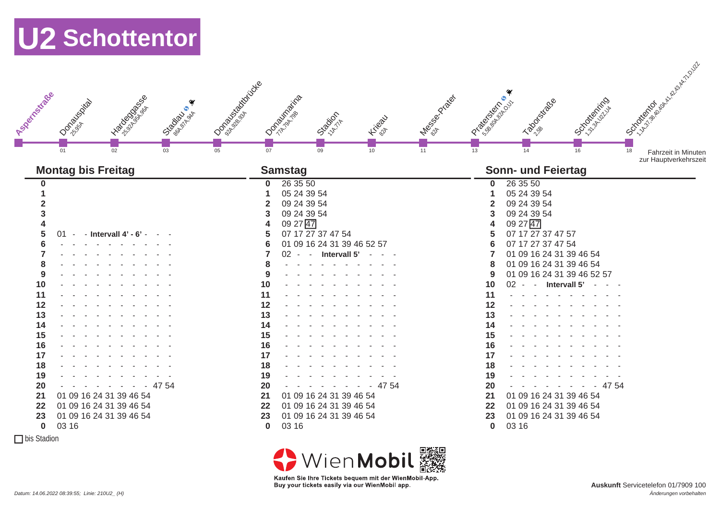

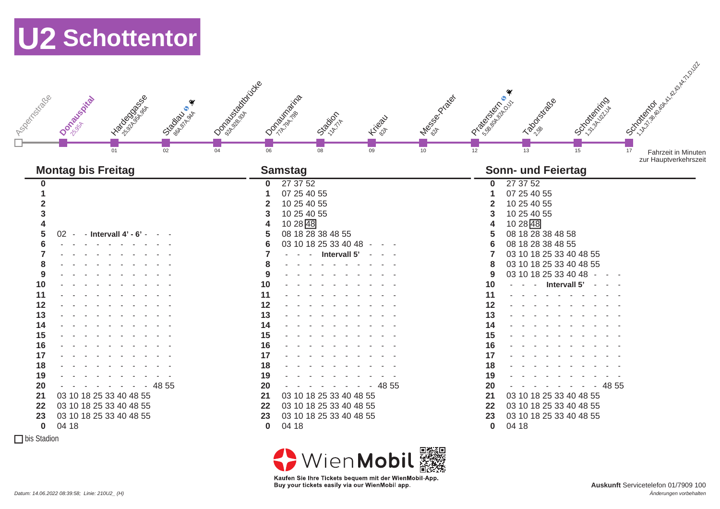

 $\Box$  bis Stadion

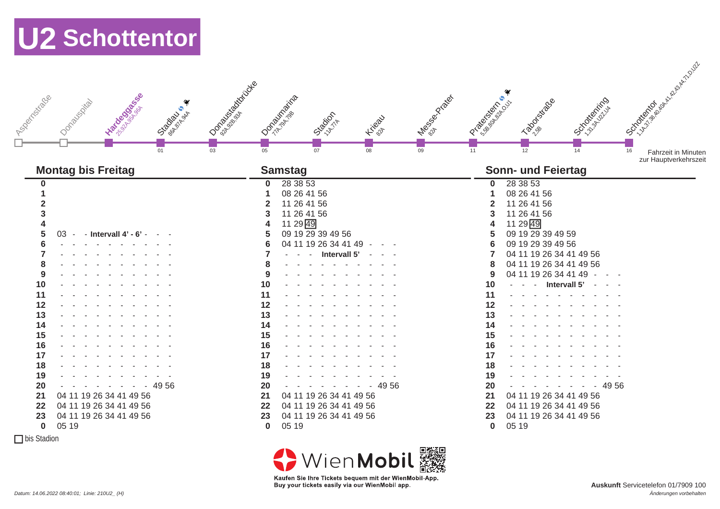

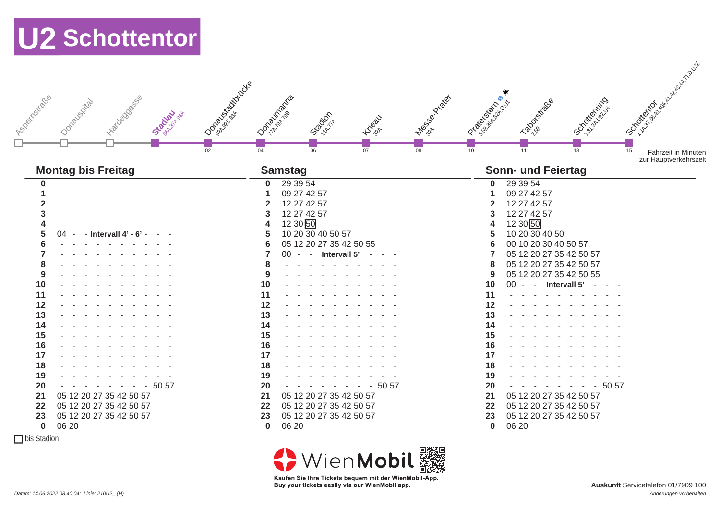

 $\Box$  bis Stadion

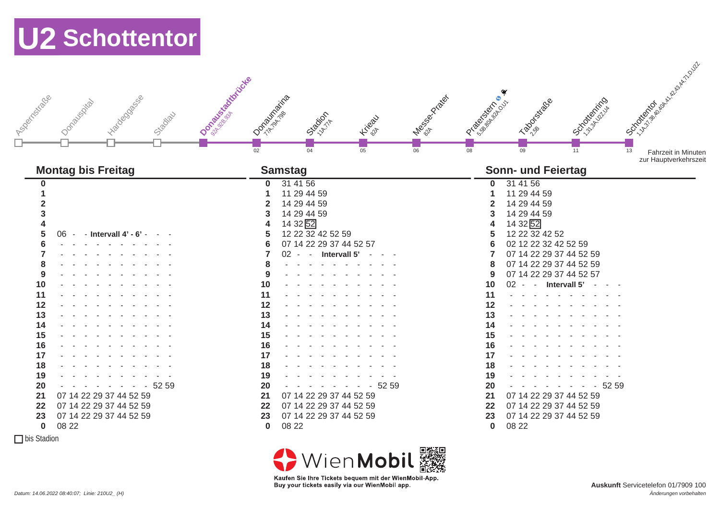

 $\Box$  bis Stadion



08 22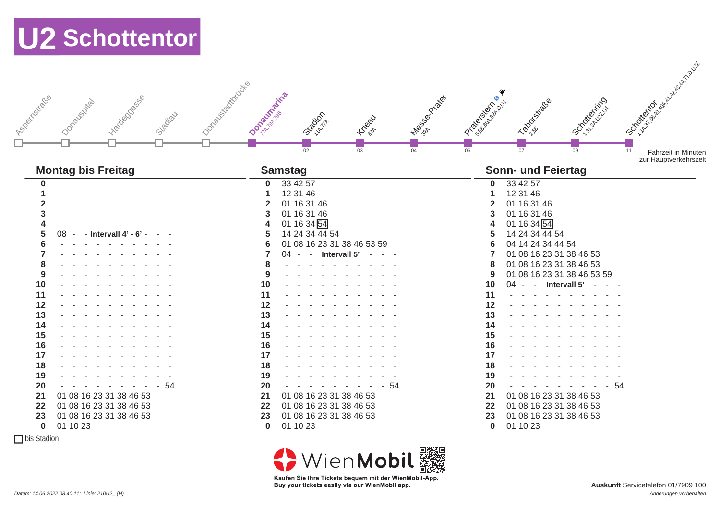| Donabuse startidide<br>J vegativestration<br>-120°CODSOSS<br>Donabuscita<br>Stadiau | October 25% Side<br>I Megapoon Ricade<br>Station <sub>n</sub><br><b>Higax</b> | <b>SORRANGE AND READY ROAD</b><br>I Paradison<br>I Propositions<br>I OC OCKIDSING |
|-------------------------------------------------------------------------------------|-------------------------------------------------------------------------------|-----------------------------------------------------------------------------------|
|                                                                                     | 02<br>03<br>04                                                                | 06<br>07<br>09<br>11<br><b>Fahrzeit in Minuten</b><br>zur Hauptverkehrszeit       |
| <b>Montag bis Freitag</b>                                                           | <b>Samstag</b>                                                                | <b>Sonn- und Feiertag</b>                                                         |
| $\boldsymbol{0}$                                                                    | 33 42 57<br>$\bf{0}$                                                          | 33 42 57<br>$\bf{0}$                                                              |
|                                                                                     | 12 31 46                                                                      | 12 31 46<br>1                                                                     |
| $\overline{2}$                                                                      | 01 16 31 46<br>2                                                              | 01 16 31 46<br>$\overline{2}$                                                     |
| 3                                                                                   | 01 16 31 46<br>3                                                              | 01 16 31 46<br>3                                                                  |
|                                                                                     | 01 16 34 54<br>4                                                              | 01 16 34 54<br>4                                                                  |
| 5<br>- Intervall 4' - 6' -<br>$08 -$                                                | 14 24 34 44 54<br>5                                                           | 14 24 34 44 54<br>5                                                               |
|                                                                                     | 01 08 16 23 31 38 46 53 59<br>6                                               | 04 14 24 34 44 54<br>6                                                            |
|                                                                                     | $\overline{\mathbf{z}}$<br>Intervall 5'<br>$04 -$<br>$\sim 10^{-11}$          | 01 08 16 23 31 38 46 53<br>7                                                      |
| 8                                                                                   | 8                                                                             | 01 08 16 23 31 38 46 53<br>8                                                      |
| 9                                                                                   | 9                                                                             | 01 08 16 23 31 38 46 53 59<br>9                                                   |
| 10                                                                                  | 10                                                                            | 10<br>Intervall 5'<br>04<br>$\sim 10^{-11}$                                       |
| 11                                                                                  | 11                                                                            | 11                                                                                |
| 12                                                                                  | 12                                                                            | 12                                                                                |
| 13                                                                                  | 13                                                                            | 13                                                                                |
| 14                                                                                  | 14                                                                            | 14                                                                                |
| 15                                                                                  | 15                                                                            | 15                                                                                |
| 16                                                                                  | 16                                                                            | 16                                                                                |
| 17                                                                                  | 17                                                                            | 17                                                                                |
| 18                                                                                  | 18                                                                            | 18                                                                                |
| 19                                                                                  | 19                                                                            | 19                                                                                |
| 20<br>- 54                                                                          | $-54$<br>20                                                                   | 20<br>- 54                                                                        |
| 01 08 16 23 31 38 46 53<br>21                                                       | 21<br>01 08 16 23 31 38 46 53                                                 | 21<br>01 08 16 23 31 38 46 53                                                     |
| 01 08 16 23 31 38 46 53<br>22                                                       | 01 08 16 23 31 38 46 53<br>22                                                 | 01 08 16 23 31 38 46 53<br>22                                                     |
| 01 08 16 23 31 38 46 53<br>23                                                       | 01 08 16 23 31 38 46 53<br>23                                                 | 01 08 16 23 31 38 46 53<br>23                                                     |
| 01 10 23<br>$\bf{0}$                                                                | 01 10 23<br>$\bf{0}$                                                          | 01 10 23<br>$\bf{0}$                                                              |
| □ bis Stadion                                                                       |                                                                               |                                                                                   |

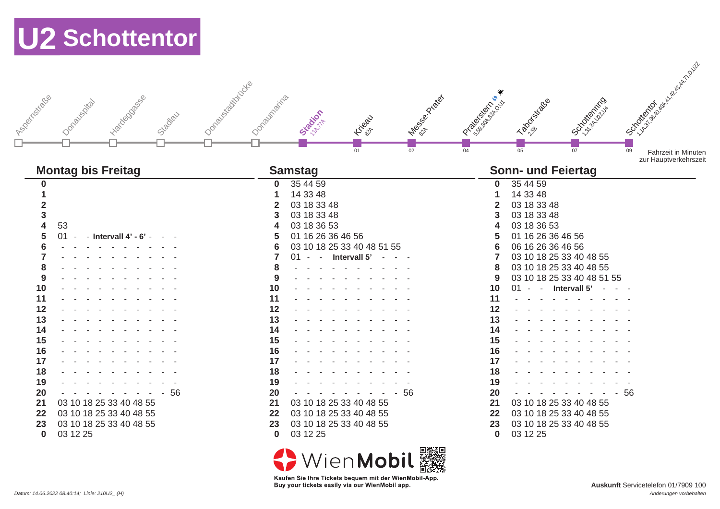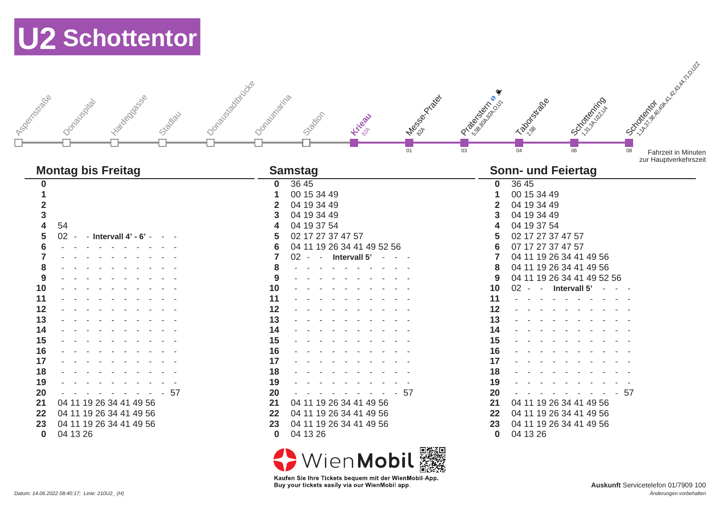| I voormaliste de<br>Hadegoosesee<br>Donabuschia<br>Szadlau                                                                                                                                                                                                                                                                                                                                           | I Oprazisátorijate<br>I de dos conceitos<br>Donauthaina<br>Stacion<br><b>Higan</b><br>01                                                                                                                                                                                                                                                                                                                                                                     | <b>OCTOON</b> BOOM ASSESSED ASSESSED.<br>I PARTICULAR OF THE OWNER<br>I Propositive River<br>JOONDAN SURVEYOR<br>03<br>04<br>06<br>08<br>Fahrzeit in Minuten<br>zur Hauptverkehrszeit                                                                                                                                                                                                                                                                                         |
|------------------------------------------------------------------------------------------------------------------------------------------------------------------------------------------------------------------------------------------------------------------------------------------------------------------------------------------------------------------------------------------------------|--------------------------------------------------------------------------------------------------------------------------------------------------------------------------------------------------------------------------------------------------------------------------------------------------------------------------------------------------------------------------------------------------------------------------------------------------------------|-------------------------------------------------------------------------------------------------------------------------------------------------------------------------------------------------------------------------------------------------------------------------------------------------------------------------------------------------------------------------------------------------------------------------------------------------------------------------------|
| <b>Montag bis Freitag</b>                                                                                                                                                                                                                                                                                                                                                                            | <b>Samstag</b>                                                                                                                                                                                                                                                                                                                                                                                                                                               | <b>Sonn- und Feiertag</b>                                                                                                                                                                                                                                                                                                                                                                                                                                                     |
| $\boldsymbol{0}$<br>1<br>$\overline{\mathbf{2}}$<br>$\overline{\mathbf{3}}$<br>$\overline{\mathbf{4}}$<br>54<br>5<br>02<br>- Intervall $4'$ - $6'$<br>$6\phantom{1}6$<br>$\overline{7}$<br>8<br>9<br>10<br>11<br>12<br>13<br>14<br>15<br>16<br>17<br>18<br>19<br>57<br>20<br>04 11 19 26 34 41 49 56<br>21<br>22<br>04 11 19 26 34 41 49 56<br>04 11 19 26 34 41 49 56<br>23<br>$\bf{0}$<br>04 13 26 | 36 45<br>$\bf{0}$<br>00 15 34 49<br>1<br>04 19 34 49<br>$\overline{2}$<br>04 19 34 49<br>3<br>04 19 37 54<br>4<br>02 17 27 37 47 57<br>5<br>04 11 19 26 34 41 49 52 56<br>6<br>$\overline{7}$<br>$02 -$<br>Intervall 5'<br>$\sim$<br>8<br>9<br>10<br>11<br>12<br>13<br>14<br>15<br>16<br>17<br>18<br>19<br>20<br>-57<br>21<br>04 11 19 26 34 41 49 56<br>22<br>04 11 19 26 34 41 49 56<br>04 11 19 26 34 41 49 56<br>23<br>$\bf{0}$<br>04 13 26<br>WienMobil | 36 45<br>$\mathbf 0$<br>00 15 34 49<br>04 19 34 49<br>2<br>04 19 34 49<br>04 19 37 54<br>02 17 27 37 47 57<br>07 17 27 37 47 57<br>6<br>04 11 19 26 34 41 49 56<br>7<br>04 11 19 26 34 41 49 56<br>8<br>04 11 19 26 34 41 49 52 56<br>9<br>10<br>02<br>Intervall 5'<br>$\sim$<br>11<br>12<br>13<br>14<br>15<br>16<br>17<br>18<br>19<br>20<br>$-57$<br>21<br>04 11 19 26 34 41 49 56<br>22<br>04 11 19 26 34 41 49 56<br>04 11 19 26 34 41 49 56<br>23<br>04 13 26<br>$\bf{0}$ |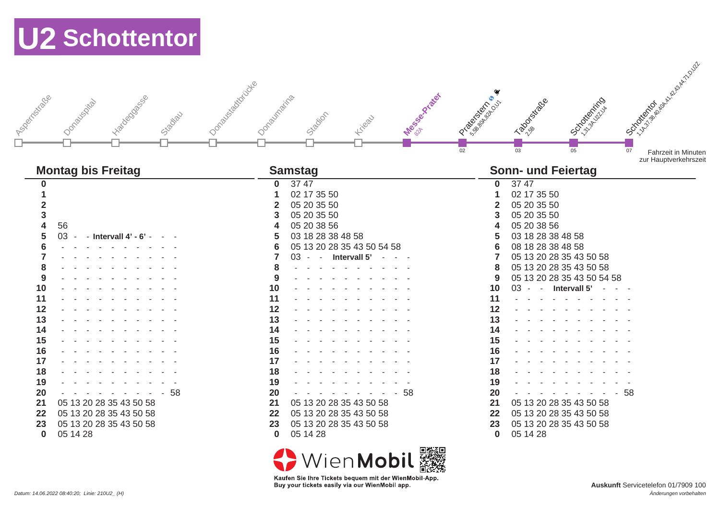| I voormatiges<br>Ivadosososos<br>Donauscita<br>Stadiau                                                                                                                                                                                                                                                                                                                                | I Opnazisationidre<br>I des concrétés<br>Donautraina<br>Stadion<br>Kiteau                                                                                                                                                                                                                                                                                                                                                                                 | OCTORIZING MAIL AND MAIL<br>I Propositions<br>JOOKINGTON<br>I Assembly of<br>02<br>03<br>05<br>07<br><b>Fahrzeit in Minuten</b>                                                                                                                                                                                                                                                                                                                                                                             |
|---------------------------------------------------------------------------------------------------------------------------------------------------------------------------------------------------------------------------------------------------------------------------------------------------------------------------------------------------------------------------------------|-----------------------------------------------------------------------------------------------------------------------------------------------------------------------------------------------------------------------------------------------------------------------------------------------------------------------------------------------------------------------------------------------------------------------------------------------------------|-------------------------------------------------------------------------------------------------------------------------------------------------------------------------------------------------------------------------------------------------------------------------------------------------------------------------------------------------------------------------------------------------------------------------------------------------------------------------------------------------------------|
| <b>Montag bis Freitag</b>                                                                                                                                                                                                                                                                                                                                                             | <b>Samstag</b>                                                                                                                                                                                                                                                                                                                                                                                                                                            | zur Hauptverkehrszeit<br><b>Sonn- und Feiertag</b>                                                                                                                                                                                                                                                                                                                                                                                                                                                          |
| $\boldsymbol{0}$<br>$\blacktriangleleft$<br>$\overline{2}$<br>3<br>$\overline{\mathbf{4}}$<br>56<br>5<br>$03 -$<br>- Intervall $4'$ - $6'$ -<br>6<br>$\overline{7}$<br>8<br>9<br>10<br>11<br>12<br>13<br>14<br>15<br>16<br>17<br>18<br>19<br>20<br>- 58<br>05 13 20 28 35 43 50 58<br>21<br>22<br>05 13 20 28 35 43 50 58<br>23<br>05 13 20 28 35 43 50 58<br>$\mathbf 0$<br>05 14 28 | 37 47<br>$\mathbf 0$<br>02 17 35 50<br>1<br>05 20 35 50<br>$\mathbf{2}$<br>05 20 35 50<br>3<br>05 20 38 56<br>4<br>5<br>03 18 28 38 48 58<br>05 13 20 28 35 43 50 54 58<br>6<br>$\overline{7}$<br>- Intervall 5' -<br>03 -<br>8<br>9<br>10<br>11<br>12<br>13<br>14<br>15<br>16<br>17<br>18<br>19<br>20<br>- 58<br>05 13 20 28 35 43 50 58<br>21<br>05 13 20 28 35 43 50 58<br>22<br>23<br>05 13 20 28 35 43 50 58<br>$\mathbf 0$<br>05 14 28<br>WienMobil | 3747<br>$\mathbf 0$<br>02 17 35 50<br>1<br>05 20 35 50<br>$\mathbf{2}$<br>05 20 35 50<br>3<br>05 20 38 56<br>03 18 28 38 48 58<br>08 18 28 38 48 58<br>6<br>05 13 20 28 35 43 50 58<br>7<br>05 13 20 28 35 43 50 58<br>8<br>05 13 20 28 35 43 50 54 58<br>9<br>10<br>03<br>Intervall 5'<br>$\sim$<br>$\sim$<br>11<br>12<br>13<br>14<br>15<br>16<br>17<br>18<br>19<br>20<br>$-58$<br>05 13 20 28 35 43 50 58<br>21<br>05 13 20 28 35 43 50 58<br>22<br>05 13 20 28 35 43 50 58<br>23<br>05 14 28<br>$\bf{0}$ |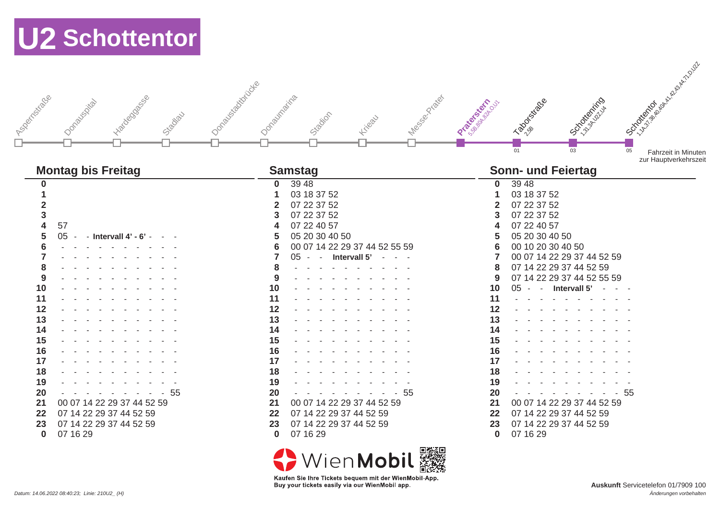| I Too enristidade | Hadegooseses<br>Donabuscita<br>Stadiau | I Oprazius sistemicidea<br>Donaumaina | Stadion                 | Kikea <sup>U</sup>            | 12/8/95/21/21/8/91 | <b>Protocologistation</b> | I Bookstage<br>01         | I OCTOBER 1979<br>03       | 05   | <b>OCTOGRAPHIC REPAIR AND COLLECTED</b><br><b>Fahrzeit in Minuten</b><br>zur Hauptverkehrszeit |
|-------------------|----------------------------------------|---------------------------------------|-------------------------|-------------------------------|--------------------|---------------------------|---------------------------|----------------------------|------|------------------------------------------------------------------------------------------------|
|                   | <b>Montag bis Freitag</b>              |                                       | <b>Samstag</b>          |                               |                    |                           | <b>Sonn- und Feiertag</b> |                            |      |                                                                                                |
| $\bf{0}$          |                                        | $\bf{0}$                              | 39 48                   |                               |                    | $\mathbf 0$               | 39 48                     |                            |      |                                                                                                |
|                   |                                        |                                       | 03 18 37 52             |                               |                    |                           | 03 18 37 52               |                            |      |                                                                                                |
| $\overline{2}$    |                                        | 2                                     | 07 22 37 52             |                               |                    |                           | 07 22 37 52               |                            |      |                                                                                                |
| 3                 |                                        |                                       | 07 22 37 52             |                               |                    |                           | 07 22 37 52               |                            |      |                                                                                                |
| 4                 | 57                                     |                                       | 07 22 40 57             |                               |                    |                           | 07 22 40 57               |                            |      |                                                                                                |
| 5                 | 05<br>- Intervall $4'$ - $6'$ -        |                                       | 05 20 30 40 50          |                               |                    | h                         | 05 20 30 40 50            |                            |      |                                                                                                |
| 6                 |                                        | 6                                     |                         | 00 07 14 22 29 37 44 52 55 59 |                    | 6                         | 00 10 20 30 40 50         |                            |      |                                                                                                |
|                   |                                        |                                       | 05<br>$\sim$            | Intervall 5'                  |                    |                           |                           | 00 07 14 22 29 37 44 52 59 |      |                                                                                                |
| 8                 |                                        |                                       |                         |                               |                    | 8                         | 07 14 22 29 37 44 52 59   |                            |      |                                                                                                |
| 9                 |                                        | 9                                     |                         |                               |                    | 9                         |                           | 07 14 22 29 37 44 52 55 59 |      |                                                                                                |
| 10                |                                        | 10                                    |                         |                               |                    | 10                        | 05<br>$\sim$ $-$          | Intervall 5'               |      |                                                                                                |
| 11                |                                        | 11                                    |                         |                               |                    | 11                        |                           |                            |      |                                                                                                |
| 12                |                                        | 12                                    |                         |                               |                    | 12                        |                           |                            |      |                                                                                                |
| 13                |                                        | 13                                    |                         |                               |                    | 13                        |                           |                            |      |                                                                                                |
| 14                |                                        | 14                                    |                         |                               |                    | 14                        |                           |                            |      |                                                                                                |
| 15                |                                        | 15                                    |                         |                               |                    | 15                        |                           |                            |      |                                                                                                |
| 16                |                                        | 16                                    |                         |                               |                    | 16                        |                           |                            |      |                                                                                                |
| 17                |                                        | 17                                    |                         |                               |                    | 17                        |                           |                            |      |                                                                                                |
| 18                |                                        | 18                                    |                         |                               |                    | 18                        |                           |                            |      |                                                                                                |
| 19                |                                        | 19                                    |                         |                               |                    | 19                        |                           |                            |      |                                                                                                |
| 20                | $-55$                                  | 20                                    |                         | - 55                          |                    | 20                        |                           |                            | - 55 |                                                                                                |
| 21                | 00 07 14 22 29 37 44 52 59             | 21                                    |                         | 00 07 14 22 29 37 44 52 59    |                    | 21                        |                           | 00 07 14 22 29 37 44 52 59 |      |                                                                                                |
| 22                | 07 14 22 29 37 44 52 59                | 22                                    | 07 14 22 29 37 44 52 59 |                               |                    | 22                        | 07 14 22 29 37 44 52 59   |                            |      |                                                                                                |
| 23                | 07 14 22 29 37 44 52 59                | 23                                    | 07 14 22 29 37 44 52 59 |                               |                    | 23                        | 07 14 22 29 37 44 52 59   |                            |      |                                                                                                |
| $\bf{0}$          | 07 16 29                               | $\bf{0}$                              | 07 16 29                |                               |                    | 0                         | 07 16 29                  |                            |      |                                                                                                |
|                   |                                        |                                       | $\blacksquare$          |                               | 同概要回               |                           |                           |                            |      |                                                                                                |

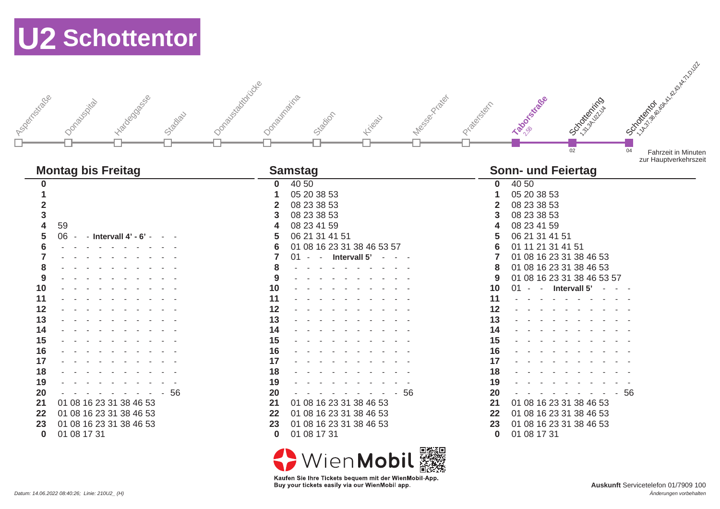| J 1/00 cm cxtrace | -ivadosososias<br>Donabuscita<br>Stadiau | I Oprazisánciótés<br>Megson River<br>Donautraina<br>Stacion<br>Kikea <sup>2</sup> | <b>SORRANGE AND REPAIR AND CLUB</b><br><b>Labourstage</b><br>I OC OCKIDSING<br>Prizetsich<br>02<br>04<br><b>Fahrzeit in Minuten</b><br>zur Hauptverkehrszeit |
|-------------------|------------------------------------------|-----------------------------------------------------------------------------------|--------------------------------------------------------------------------------------------------------------------------------------------------------------|
|                   | <b>Montag bis Freitag</b>                | <b>Samstag</b>                                                                    | <b>Sonn- und Feiertag</b>                                                                                                                                    |
| 0                 |                                          | 40 50<br>$\bf{0}$                                                                 | 40 50<br>$\mathbf{0}$                                                                                                                                        |
|                   |                                          | 05 20 38 53                                                                       | 05 20 38 53                                                                                                                                                  |
| $\overline{2}$    |                                          | 08 23 38 53                                                                       | 08 23 38 53                                                                                                                                                  |
| 3                 |                                          | 08 23 38 53<br>3                                                                  | 08 23 38 53<br>3                                                                                                                                             |
| 4                 | 59                                       | 08 23 41 59<br>Δ                                                                  | 08 23 41 59<br>4                                                                                                                                             |
| 5                 | 06<br>- $-$ Intervall 4' - 6' -          | 06 21 31 41 51<br>5                                                               | 06 21 31 41 51<br>5                                                                                                                                          |
| 6                 |                                          | 01 08 16 23 31 38 46 53 57<br>6                                                   | 01 11 21 31 41 51<br>6                                                                                                                                       |
|                   |                                          | Intervall 5'<br>01<br>$\sim$ $-$<br>and the state of the                          | 01 08 16 23 31 38 46 53                                                                                                                                      |
| 8                 |                                          |                                                                                   | 01 08 16 23 31 38 46 53<br>8                                                                                                                                 |
| 9                 |                                          |                                                                                   | 01 08 16 23 31 38 46 53 57<br>9                                                                                                                              |
| 10                |                                          | 10                                                                                | 10<br>Intervall 5'                                                                                                                                           |
| 11                |                                          | 11                                                                                | 11                                                                                                                                                           |
| 12                |                                          | 12                                                                                | 12                                                                                                                                                           |
| 13                |                                          | 13                                                                                | 13                                                                                                                                                           |
| 14                |                                          | 14                                                                                | 14                                                                                                                                                           |
| 15                |                                          | 15                                                                                | 15                                                                                                                                                           |
| 16                |                                          | 16                                                                                | 16                                                                                                                                                           |
| 17                |                                          | 17                                                                                | 17                                                                                                                                                           |
| 18                |                                          | 18                                                                                | 18                                                                                                                                                           |
| 19                |                                          | 19                                                                                | 19                                                                                                                                                           |
| 20                | $-56$                                    | 20<br>$-56$                                                                       | 20<br>$-56$                                                                                                                                                  |
| 21                | 01 08 16 23 31 38 46 53                  | 01 08 16 23 31 38 46 53<br>21                                                     | 01 08 16 23 31 38 46 53<br>21                                                                                                                                |
| 22                | 01 08 16 23 31 38 46 53                  | 01 08 16 23 31 38 46 53<br>22                                                     | 01 08 16 23 31 38 46 53<br>22                                                                                                                                |
| 23                | 01 08 16 23 31 38 46 53                  | 01 08 16 23 31 38 46 53<br>23                                                     | 01 08 16 23 31 38 46 53<br>23                                                                                                                                |
| 0                 | 01 08 17 31                              | 01 08 17 31<br>0                                                                  | 01 08 17 31<br>0                                                                                                                                             |

01 08 17 31

<>
WienMobil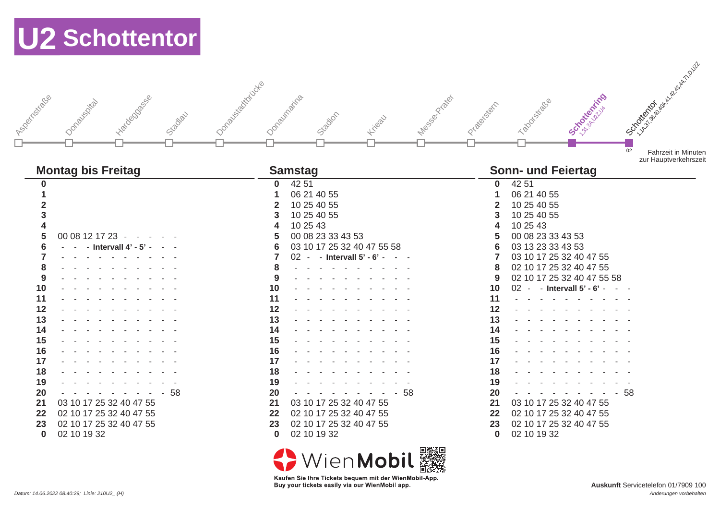| I Too contractions<br>Hadegoosesee<br>Donauspicka<br>Stadiau | I Oprazisátorijate<br>I des contractor<br>Donautraina<br>Stadion<br>Kikeat | OCTOBILITY OF BOOM ASSESSMENT AND ACTOR<br><b>SC-Octobritists</b><br>Taboostitace<br>Prize state<br>02<br><b>Fahrzeit in Minuten</b><br>zur Hauptverkehrszeit |
|--------------------------------------------------------------|----------------------------------------------------------------------------|---------------------------------------------------------------------------------------------------------------------------------------------------------------|
| <b>Montag bis Freitag</b>                                    | <b>Samstag</b>                                                             | <b>Sonn- und Feiertag</b>                                                                                                                                     |
| 0                                                            | 42 51<br>$\mathbf 0$                                                       | 42 51<br>$\mathbf 0$                                                                                                                                          |
| 1                                                            | 06 21 40 55<br>1                                                           | 06 21 40 55<br>1                                                                                                                                              |
| $\overline{\mathbf{2}}$                                      | 10 25 40 55<br>$\mathbf{2}$                                                | 10 25 40 55<br>$\mathbf{2}$                                                                                                                                   |
| 3                                                            | 10 25 40 55<br>3                                                           | 10 25 40 55<br>3                                                                                                                                              |
| 4                                                            | 10 25 43                                                                   | 10 25 43<br>4                                                                                                                                                 |
| 5<br>00 08 12 17 23 -                                        | 00 08 23 33 43 53<br>5                                                     | 00 08 23 33 43 53<br>5                                                                                                                                        |
| 6<br>- Intervall 4' - 5'                                     | 03 10 17 25 32 40 47 55 58<br>6                                            | 03 13 23 33 43 53<br>$6\phantom{1}6$                                                                                                                          |
| 7                                                            | $\overline{7}$<br>- Intervall $5'$ - $6'$ -<br>$02 -$                      | $\overline{7}$<br>03 10 17 25 32 40 47 55                                                                                                                     |
| 8                                                            | 8                                                                          | 02 10 17 25 32 40 47 55<br>8                                                                                                                                  |
| 9                                                            | 9                                                                          | 02 10 17 25 32 40 47 55 58<br>9                                                                                                                               |
| 10                                                           | 10                                                                         | 10<br>02 - - Intervall 5' - 6'                                                                                                                                |
| 11                                                           | 11                                                                         | 11                                                                                                                                                            |
| 12                                                           | 12                                                                         | 12                                                                                                                                                            |
| 13                                                           | 13                                                                         | 13                                                                                                                                                            |
| 14                                                           | 14                                                                         | 14                                                                                                                                                            |
| 15                                                           | 15                                                                         | 15                                                                                                                                                            |
| 16                                                           | 16                                                                         | 16                                                                                                                                                            |
| 17                                                           | 17                                                                         | 17                                                                                                                                                            |
| 18                                                           | 18                                                                         | 18                                                                                                                                                            |
| 19                                                           | 19                                                                         | 19                                                                                                                                                            |
| 20<br>-58                                                    | $-58$<br>20                                                                | 20<br>$-58$                                                                                                                                                   |
| 03 10 17 25 32 40 47 55<br>21                                | 21<br>03 10 17 25 32 40 47 55                                              | 03 10 17 25 32 40 47 55<br>21                                                                                                                                 |
| 02 10 17 25 32 40 47 55<br>22                                | 02 10 17 25 32 40 47 55<br>22                                              | 02 10 17 25 32 40 47 55<br>22                                                                                                                                 |
| 02 10 17 25 32 40 47 55<br>23                                | 02 10 17 25 32 40 47 55<br>23                                              | 02 10 17 25 32 40 47 55<br>23                                                                                                                                 |
| 02 10 19 32<br>$\bf{0}$                                      | 02 10 19 32<br>$\bf{0}$                                                    | 02 10 19 32<br>$\bf{0}$                                                                                                                                       |
|                                                              | 同族法国<br>$\sqrt{2}$                                                         |                                                                                                                                                               |

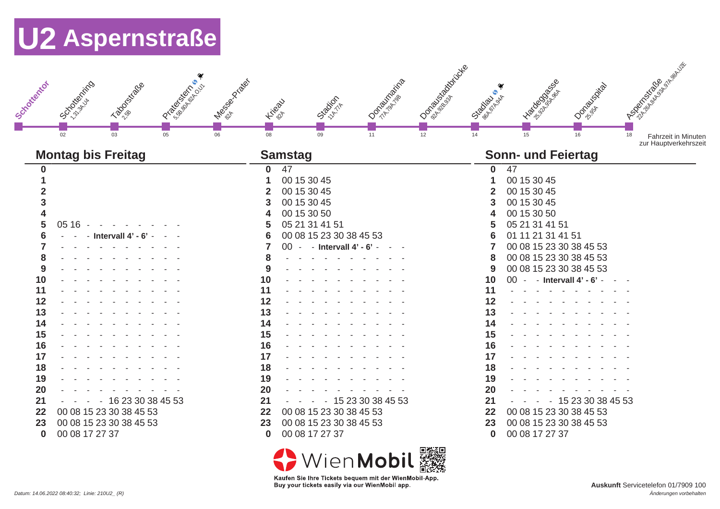|               |                            | I Participal River | I de Boombon |                                                    |                      | I Deposite Resident | ❤<br>$\bullet$    |                            |                 | Anderson River River                                      |
|---------------|----------------------------|--------------------|--------------|----------------------------------------------------|----------------------|---------------------|-------------------|----------------------------|-----------------|-----------------------------------------------------------|
| J Schotterton | OCATORIZATIO<br>Tabletiage |                    |              | Station-<br>Kilean                                 | <b>I Only Marine</b> |                     | <b>CIRCOLADOR</b> | I Books                    | I Oondarison    |                                                           |
|               | 03<br>02                   | 05                 | 06<br>08     | 09                                                 | 11                   | 12                  | 14                | 15                         | 16              | 18<br><b>Fahrzeit in Minuten</b><br>zur Hauptverkehrszeit |
|               | <b>Montag bis Freitag</b>  |                    |              | <b>Samstag</b>                                     |                      |                     |                   | <b>Sonn- und Feiertag</b>  |                 |                                                           |
| O             |                            |                    | $\bf{0}$     | 47                                                 |                      |                     | $\Omega$          | 47                         |                 |                                                           |
|               |                            |                    |              | 00 15 30 45                                        |                      |                     |                   | 00 15 30 45                |                 |                                                           |
|               |                            |                    | 2            | 00 15 30 45                                        |                      |                     |                   | 00 15 30 45                |                 |                                                           |
| 3             |                            |                    | 3            | 00 15 30 45                                        |                      |                     |                   | 00 15 30 45                |                 |                                                           |
|               |                            |                    |              | 00 15 30 50                                        |                      |                     |                   | 00 15 30 50                |                 |                                                           |
| 5             | 05 16                      |                    | 5            | 05 21 31 41 51                                     |                      |                     |                   | 05 21 31 41 51             |                 |                                                           |
| 6             | - Intervall $4'$ - $6'$    |                    | 6            | 00 08 15 23 30 38 45 53                            |                      |                     |                   | 01 11 21 31 41 51          |                 |                                                           |
|               |                            |                    |              | 00 - - Intervall 4' - 6' -                         |                      |                     |                   | 00 08 15 23 30 38 45 53    |                 |                                                           |
| 8             |                            |                    | 8            |                                                    |                      |                     |                   | 00 08 15 23 30 38 45 53    |                 |                                                           |
| 9             |                            |                    | 9            | $\mathbf{r}$ , and $\mathbf{r}$ , and $\mathbf{r}$ |                      |                     | 9                 | 00 08 15 23 30 38 45 53    |                 |                                                           |
| 10            |                            |                    | 10           |                                                    |                      |                     | 10                | 00 - - Intervall 4' - 6' - |                 |                                                           |
| 11            |                            |                    | 11           |                                                    |                      |                     | 11                |                            |                 |                                                           |
| 12            |                            |                    | 12           |                                                    |                      |                     | 12                |                            |                 |                                                           |
| 13            |                            |                    | 13           |                                                    |                      |                     | 13                |                            |                 |                                                           |
| 14            |                            |                    | 14           |                                                    |                      |                     | 14                |                            |                 |                                                           |
| 15            |                            |                    | 15           |                                                    |                      |                     | 15                |                            |                 |                                                           |
| 16            |                            |                    | 16           |                                                    |                      |                     | 16                |                            |                 |                                                           |
| 17            |                            |                    | 17           |                                                    |                      |                     | 17                |                            |                 |                                                           |
| 18            |                            |                    | 18           |                                                    |                      |                     | 18                |                            |                 |                                                           |
| 19            |                            |                    | 19           |                                                    |                      |                     | 19                |                            |                 |                                                           |
| 20            |                            |                    | 20           |                                                    |                      |                     | 20                |                            |                 |                                                           |
| 21            | $-162330384553$            |                    | 21           |                                                    | $-152330384553$      |                     | 21                |                            | $-152330384553$ |                                                           |
| 22            | 00 08 15 23 30 38 45 53    |                    | 22           | 00 08 15 23 30 38 45 53                            |                      |                     | 22                | 00 08 15 23 30 38 45 53    |                 |                                                           |
| 23            | 00 08 15 23 30 38 45 53    |                    | 23           | 00 08 15 23 30 38 45 53                            |                      |                     | 23                | 00 08 15 23 30 38 45 53    |                 |                                                           |
| $\bf{0}$      | 00 08 17 27 37             |                    | $\bf{0}$     | 00 08 17 27 37                                     |                      |                     | $\bf{0}$          | 00 08 17 27 37             |                 |                                                           |
|               |                            |                    |              |                                                    |                      | 情報文庫                |                   |                            |                 |                                                           |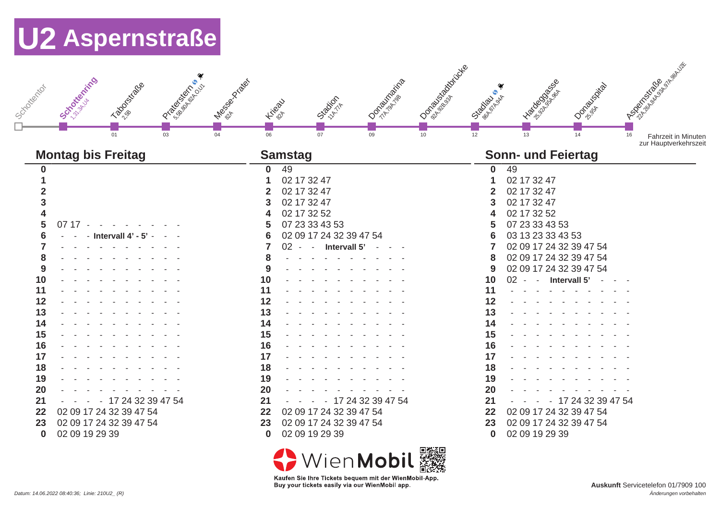| Scrookenting<br>I Participal River<br>I Magnolia Rica<br><b>Labourstage</b><br>Schooledron<br>$\overline{03}$<br>$\overline{04}$<br>01                                                                                                                                       | I Daniel Backmann<br><b>IOONDERWARE</b><br>Station-<br><b>Higax</b><br>06<br>07<br>09<br>$\overline{10}$                                                                                                                                                                                                                                                                                       | Association of the River<br>I Racional River<br>I Ondorantico<br>$\bullet$<br><b>CITODAPIA</b><br>$\overline{12}$<br>13<br>14<br>16<br><b>Fahrzeit in Minuten</b><br>zur Hauptverkehrszeit                                                                                                                                                                                                                                      |
|------------------------------------------------------------------------------------------------------------------------------------------------------------------------------------------------------------------------------------------------------------------------------|------------------------------------------------------------------------------------------------------------------------------------------------------------------------------------------------------------------------------------------------------------------------------------------------------------------------------------------------------------------------------------------------|---------------------------------------------------------------------------------------------------------------------------------------------------------------------------------------------------------------------------------------------------------------------------------------------------------------------------------------------------------------------------------------------------------------------------------|
| <b>Montag bis Freitag</b>                                                                                                                                                                                                                                                    | <b>Samstag</b>                                                                                                                                                                                                                                                                                                                                                                                 | <b>Sonn- und Feiertag</b>                                                                                                                                                                                                                                                                                                                                                                                                       |
| 0<br>2<br>3<br>4<br>5<br>$0717 -$<br>6<br>- Intervall $4'$ - $5'$ -<br>8<br>9<br>10<br>11<br>12<br>13<br>14<br>15<br>16<br>17<br>18<br>19<br>20<br>21<br>- 17 24 32 39 47 54<br>02 09 17 24 32 39 47 54<br>22<br>02 09 17 24 32 39 47 54<br>23<br>02 09 19 29 39<br>$\bf{0}$ | 49<br>$\mathbf{0}$<br>02 17 32 47<br>02 17 32 47<br>2<br>02 17 32 47<br>3<br>02 17 32 52<br>4<br>07 23 33 43 53<br>5<br>02 09 17 24 32 39 47 54<br>6<br>7<br>- Intervall 5'<br>$02 -$<br>8<br>9<br>10<br>11<br>12<br>13<br>14<br>15<br>16<br>17<br>18<br>19<br>20<br>21<br>- 17 24 32 39 47 54<br>22<br>02 09 17 24 32 39 47 54<br>02 09 17 24 32 39 47 54<br>23<br>02 09 19 29 39<br>$\bf{0}$ | 49<br>$\mathbf{0}$<br>02 17 32 47<br>02 17 32 47<br>02 17 32 47<br>02 17 32 52<br>07 23 33 43 53<br>03 13 23 33 43 53<br>02 09 17 24 32 39 47 54<br>02 09 17 24 32 39 47 54<br>8<br>02 09 17 24 32 39 47 54<br>9<br>$02 -$<br>- Intervall 5'<br>10<br>11<br>12<br>13<br>14<br>15<br>16<br>17<br>18<br>19<br>20<br>21<br>- 17 24 32 39 47 54<br>02 09 17 24 32 39 47 54<br>22<br>02 09 17 24 32 39 47 54<br>23<br>02 09 19 29 39 |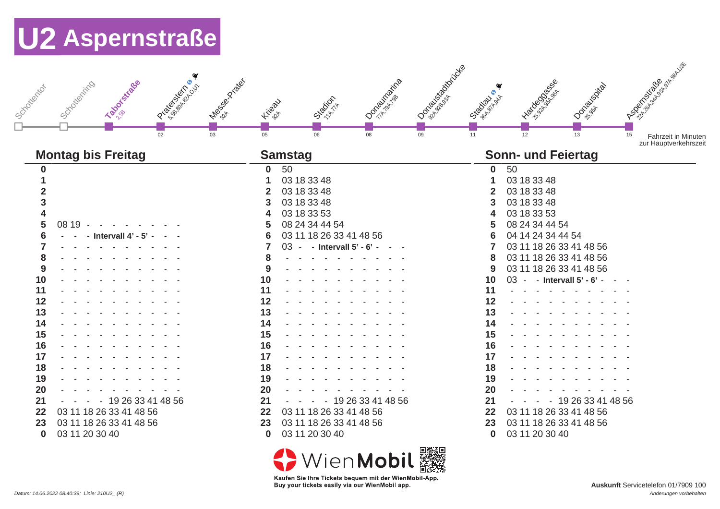| I PO GRAND SO DISPOSITION REPORT<br>I de dos criosos<br><b>Laborative</b><br>Schotterting<br>J Schooledrackor<br>03<br>02                                                                                                   | I Department of British<br><b>Dominication</b><br>Station 11A<br><b>Higax</b><br>05<br>08<br>$\overline{09}$<br>06                                                                                                                                                                                                                                                                                                                                                                                 | A Book of Bridge River<br>I Bacocos<br>I Open Visual<br><b>Scotland Branch</b><br>$\overline{11}$<br>12<br>13<br>15<br><b>Fahrzeit in Minuten</b><br>zur Hauptverkehrszeit                                                                                                                                                                                                                                                       |
|-----------------------------------------------------------------------------------------------------------------------------------------------------------------------------------------------------------------------------|----------------------------------------------------------------------------------------------------------------------------------------------------------------------------------------------------------------------------------------------------------------------------------------------------------------------------------------------------------------------------------------------------------------------------------------------------------------------------------------------------|----------------------------------------------------------------------------------------------------------------------------------------------------------------------------------------------------------------------------------------------------------------------------------------------------------------------------------------------------------------------------------------------------------------------------------|
| <b>Montag bis Freitag</b>                                                                                                                                                                                                   | <b>Samstag</b>                                                                                                                                                                                                                                                                                                                                                                                                                                                                                     | <b>Sonn- und Feiertag</b>                                                                                                                                                                                                                                                                                                                                                                                                        |
| $\mathbf{0}$<br>3<br>5<br>08 19<br>6<br>Intervall 4' - 5'<br>9<br>10<br>11<br>12<br>13<br>14<br>15<br>16<br>17<br>18<br>19<br>20<br>21<br>$-192633414856$<br>03 11 18 26 33 41 48 56<br>22<br>03 11 18 26 33 41 48 56<br>23 | 50<br>$\bf{0}$<br>03 18 33 48<br>03 18 33 48<br>$\mathbf 2$<br>03 18 33 48<br>3<br>03 18 33 53<br>4<br>08 24 34 44 54<br>5<br>03 11 18 26 33 41 48 56<br>6<br>03 - - Intervall 5' - 6' -<br>7<br>8<br>and a state of the state of the state<br>9<br>$\mathbf{r}$ , and $\mathbf{r}$ , and $\mathbf{r}$ , and $\mathbf{r}$<br>10<br>11<br>12<br>13<br>14<br>15<br>16<br>17<br>18<br>19<br>20<br>19 26 33 41 48 56<br>21<br>$\sim$<br>03 11 18 26 33 41 48 56<br>22<br>03 11 18 26 33 41 48 56<br>23 | 50<br>$\mathbf 0$<br>03 18 33 48<br>03 18 33 48<br>03 18 33 48<br>03 18 33 53<br>08 24 34 44 54<br>04 14 24 34 44 54<br>03 11 18 26 33 41 48 56<br>03 11 18 26 33 41 48 56<br>8<br>03 11 18 26 33 41 48 56<br>9<br>03 - - Intervall 5' - 6' -<br>10<br>$\sim$ $ \sim$ $-$<br>11<br>12<br>13<br>14<br>15<br>16<br>17<br>18<br>19<br>20<br>$-192633414856$<br>21<br>03 11 18 26 33 41 48 56<br>22<br>03 11 18 26 33 41 48 56<br>23 |
| 03 11 20 30 40<br>$\bf{0}$                                                                                                                                                                                                  | 03 11 20 30 40<br>$\bf{0}$                                                                                                                                                                                                                                                                                                                                                                                                                                                                         | 03 11 20 30 40<br>$\bf{0}$                                                                                                                                                                                                                                                                                                                                                                                                       |
|                                                                                                                                                                                                                             | render to rend                                                                                                                                                                                                                                                                                                                                                                                                                                                                                     |                                                                                                                                                                                                                                                                                                                                                                                                                                  |

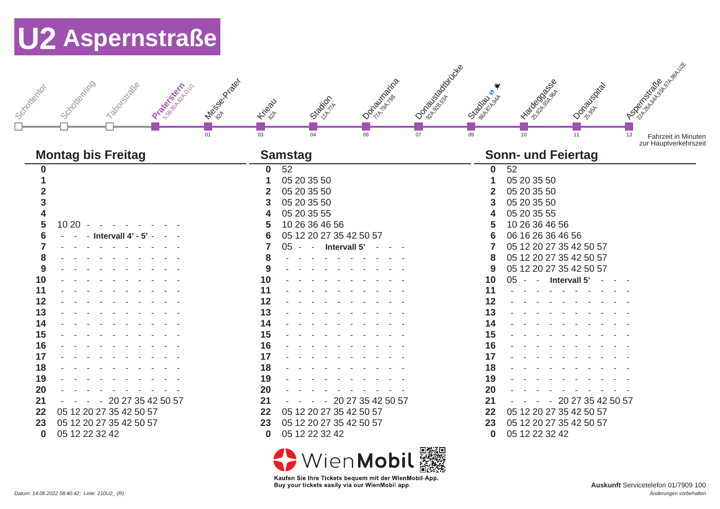| I despois des libérales<br>Schotterting<br>Taboostiche<br>Programsing<br>J Scyclotterton<br>01                                                                                         | I O Book of Box Correction<br><b>I Ondergraphs</b><br>Station-<br>Hirept<br>03<br>04<br>06<br>07                                                                                                                                                                                                                                 | I Background B<br>I Ondorantida<br>٠<br>Stage sites<br>09<br>10<br>11<br>13                                                                                                                                                                                                                                                                                                                                        | A Book of Bridge River<br><b>Fahrzeit in Minuten</b><br>zur Hauptverkehrszeit |
|----------------------------------------------------------------------------------------------------------------------------------------------------------------------------------------|----------------------------------------------------------------------------------------------------------------------------------------------------------------------------------------------------------------------------------------------------------------------------------------------------------------------------------|--------------------------------------------------------------------------------------------------------------------------------------------------------------------------------------------------------------------------------------------------------------------------------------------------------------------------------------------------------------------------------------------------------------------|-------------------------------------------------------------------------------|
| <b>Montag bis Freitag</b>                                                                                                                                                              | <b>Samstag</b>                                                                                                                                                                                                                                                                                                                   | <b>Sonn- und Feiertag</b>                                                                                                                                                                                                                                                                                                                                                                                          |                                                                               |
| O<br>3<br>10 20<br>5<br>6<br>Intervall $4' - 5'$<br>8<br>9<br>10<br>11<br>12<br>13<br>14<br>15<br>16<br>17<br>18<br>19<br>20<br>$-202735425057$<br>21<br>05 12 20 27 35 42 50 57<br>22 | 52<br>0<br>05 20 35 50<br>05 20 35 50<br>$\overline{2}$<br>05 20 35 50<br>3<br>05 20 35 55<br>4<br>10 26 36 46 56<br>5<br>05 12 20 27 35 42 50 57<br>6<br>$-$ - Intervall $5'$ -<br>05<br>8<br>9<br>10<br>11<br>12<br>13<br>14<br>15<br>16<br>17<br>18<br>19<br>20<br>- 20 27 35 42 50 57<br>21<br>05 12 20 27 35 42 50 57<br>22 | 52<br>$\mathbf{0}$<br>05 20 35 50<br>05 20 35 50<br>05 20 35 50<br>05 20 35 55<br>10 26 36 46 56<br>06 16 26 36 46 56<br>05 12 20 27 35 42 50 57<br>05 12 20 27 35 42 50 57<br>8<br>05 12 20 27 35 42 50 57<br>9<br>- Intervall 5' -<br>10<br>05<br>$\sim$<br>$\sim$ $ \sim$ $-$<br>11<br>12<br>13<br>14<br>15<br>16<br>17<br>18<br>19<br>20<br>20 27 35 42 50 57<br>21<br>$\sim$<br>05 12 20 27 35 42 50 57<br>22 |                                                                               |
| 23<br>05 12 20 27 35 42 50 57<br>05 12 22 32 42<br>$\bf{0}$                                                                                                                            | 05 12 20 27 35 42 50 57<br>23<br>05 12 22 32 42<br>$\bf{0}$                                                                                                                                                                                                                                                                      | 05 12 20 27 35 42 50 57<br>23<br>05 12 22 32 42<br>$\bf{0}$                                                                                                                                                                                                                                                                                                                                                        |                                                                               |
|                                                                                                                                                                                        | 面积深面。                                                                                                                                                                                                                                                                                                                            |                                                                                                                                                                                                                                                                                                                                                                                                                    |                                                                               |

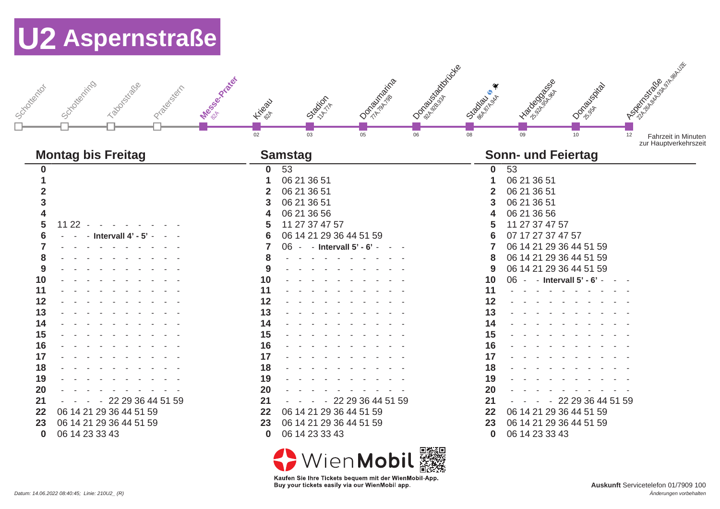| Joseph'son              | Messe River<br>Scicloteching<br>Transitions o<br>Prize stort | <b>Higax</b>    | Station-                              | <b>I Occurring Branch</b> | I O Book of Box Correction | $S^*$<br><b>CARDONAL SAR</b> | I Background B                  | I Oonegalacida    | I Book of Bridge River                                    |
|-------------------------|--------------------------------------------------------------|-----------------|---------------------------------------|---------------------------|----------------------------|------------------------------|---------------------------------|-------------------|-----------------------------------------------------------|
|                         |                                                              |                 |                                       |                           |                            |                              |                                 |                   |                                                           |
|                         | <b>Montag bis Freitag</b>                                    | $\overline{02}$ | 03<br><b>Samstag</b>                  | $\overline{05}$           | 06                         | 08                           | 09<br><b>Sonn- und Feiertag</b> | 10                | 12<br><b>Fahrzeit in Minuten</b><br>zur Hauptverkehrszeit |
|                         |                                                              |                 |                                       |                           |                            |                              |                                 |                   |                                                           |
| 0                       |                                                              | $\mathbf{0}$    | 53                                    |                           |                            | $\bf{0}$                     | 53                              |                   |                                                           |
|                         |                                                              |                 | 06 21 36 51                           |                           |                            |                              | 06 21 36 51                     |                   |                                                           |
| $\overline{\mathbf{2}}$ |                                                              |                 | 06 21 36 51                           |                           |                            |                              | 06 21 36 51                     |                   |                                                           |
| 3                       |                                                              | 3               | 06 21 36 51                           |                           |                            |                              | 06 21 36 51                     |                   |                                                           |
| $\overline{\mathbf{4}}$ |                                                              |                 | 06 21 36 56                           |                           |                            |                              | 06 21 36 56                     |                   |                                                           |
| 5                       | $1122 -$<br>$\overline{a}$                                   |                 | 11 27 37 47 57                        |                           |                            |                              | 11 27 37 47 57                  |                   |                                                           |
| 6                       | - Intervall 4' - 5'                                          | 6               | 06 14 21 29 36 44 51 59               |                           |                            |                              | 07 17 27 37 47 57               |                   |                                                           |
|                         |                                                              |                 | 06 - - Intervall 5' - 6' -            |                           |                            |                              | 06 14 21 29 36 44 51 59         |                   |                                                           |
| 8                       |                                                              |                 |                                       |                           |                            | 8                            | 06 14 21 29 36 44 51 59         |                   |                                                           |
| 9                       |                                                              | 9               | and a state of the state of the state |                           |                            | 9                            | 06 14 21 29 36 44 51 59         |                   |                                                           |
| 10                      |                                                              | 10              |                                       |                           |                            | 10                           | 06 - - Intervall 5' - 6' -      |                   |                                                           |
| 11                      |                                                              | 11              |                                       |                           |                            | 11                           |                                 |                   |                                                           |
| 12                      |                                                              | 12              |                                       |                           |                            | 12                           |                                 |                   |                                                           |
| 13                      |                                                              | 13              |                                       |                           |                            | 13                           |                                 |                   |                                                           |
| 14                      |                                                              | 14              |                                       |                           |                            | 14                           |                                 |                   |                                                           |
| 15                      |                                                              | 15              |                                       |                           |                            | 15                           |                                 |                   |                                                           |
| 16                      |                                                              | 16              |                                       |                           |                            | 16                           |                                 |                   |                                                           |
| 17                      |                                                              | 17              |                                       |                           |                            | 17                           |                                 |                   |                                                           |
| 18                      |                                                              | 18              |                                       |                           |                            | 18                           |                                 |                   |                                                           |
| 19                      |                                                              | 19              |                                       |                           |                            | 19                           |                                 |                   |                                                           |
| 20                      |                                                              | 20              |                                       |                           |                            | 20                           |                                 |                   |                                                           |
| 21                      | $-222936445159$                                              | 21              |                                       | 22 29 36 44 51 59         |                            | 21                           | $\sim$                          | 22 29 36 44 51 59 |                                                           |
| 22                      | 06 14 21 29 36 44 51 59                                      | 22              | 06 14 21 29 36 44 51 59               |                           |                            | 22                           | 06 14 21 29 36 44 51 59         |                   |                                                           |
| 23                      | 06 14 21 29 36 44 51 59                                      | 23              | 06 14 21 29 36 44 51 59               |                           |                            | 23                           | 06 14 21 29 36 44 51 59         |                   |                                                           |
| $\bf{0}$                | 06 14 23 33 43                                               | $\bf{0}$        | 06 14 23 33 43                        |                           |                            | $\bf{0}$                     | 06 14 23 33 43                  |                   |                                                           |
|                         |                                                              |                 |                                       |                           | ranger varant              |                              |                                 |                   |                                                           |

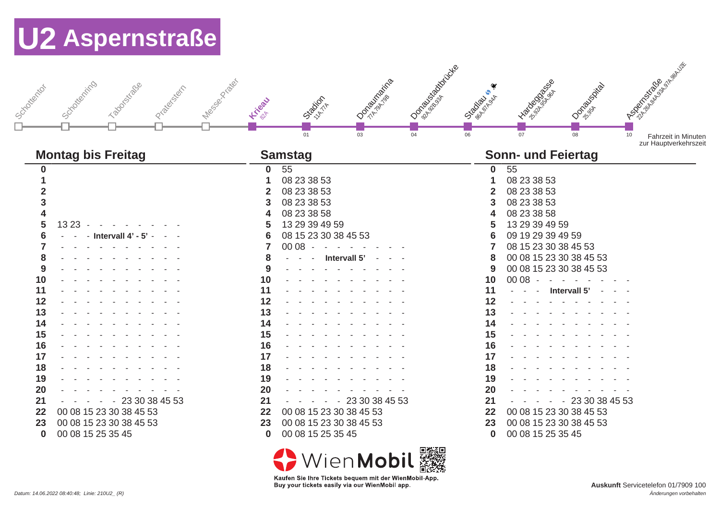|                                                                               |                                                  | $S^*$                                                         |                                                                                                                |
|-------------------------------------------------------------------------------|--------------------------------------------------|---------------------------------------------------------------|----------------------------------------------------------------------------------------------------------------|
| Messes River<br>Schottenting<br>Taboostatage<br>J Scyclotector<br>Pratestatin | <b>I Occurrence</b><br>Station-<br>Kiteau        | ID Sea Box Correction<br>I Racional Branch<br><b>CARDONAL</b> | I Book of Bridge River<br>I OO BOOM 1501                                                                       |
| <b>Montag bis Freitag</b>                                                     | 01<br>03                                         | 06<br>04<br>07<br><b>Sonn- und Feiertag</b>                   | 08<br>10<br>Fahrzeit in Minuten<br>zur Hauptverkehrszeit                                                       |
|                                                                               | <b>Samstag</b>                                   |                                                               |                                                                                                                |
| $\bf{0}$                                                                      | 55<br>0                                          | 55<br>$\mathbf 0$                                             |                                                                                                                |
|                                                                               | 08 23 38 53<br>1                                 | 08 23 38 53                                                   |                                                                                                                |
|                                                                               | 08 23 38 53<br>$\mathbf{2}$                      | 08 23 38 53                                                   |                                                                                                                |
| 3                                                                             | 08 23 38 53<br>3                                 | 08 23 38 53                                                   |                                                                                                                |
| 4                                                                             | 08 23 38 58<br>4                                 | 08 23 38 58                                                   |                                                                                                                |
| 5<br>13 23                                                                    | 13 29 39 49 59<br>5                              | 13 29 39 49 59                                                |                                                                                                                |
| 6<br>- Intervall $4'$ - $5'$                                                  | 08 15 23 30 38 45 53<br>6                        | 09 19 29 39 49 59                                             |                                                                                                                |
| and the contract of                                                           | $0008 -$<br>7<br>$\sim$ $-$<br>$\sim$ $-$        | 08 15 23 30 38 45 53                                          |                                                                                                                |
| 8<br>9                                                                        | 8<br>Intervall 5' -<br>9<br>and a state of the   | 00 08 15 23 30 38 45 53<br>8<br>00 08 15 23 30 38 45 53<br>9  |                                                                                                                |
| 10                                                                            | 10<br>the state of the state of the state of the | 00 08<br>10<br>$\sim$                                         | in the state of the state of the state of the state of the state of the state of the state of the state of the |
| 11                                                                            | 11                                               | 11                                                            | Intervall 5'                                                                                                   |
| 12                                                                            | 12                                               | 12                                                            |                                                                                                                |
| 13                                                                            | 13                                               | 13                                                            |                                                                                                                |
| 14                                                                            | 14                                               | 14                                                            |                                                                                                                |
| 15                                                                            | 15                                               | 15                                                            |                                                                                                                |
| 16                                                                            | 16                                               | 16                                                            |                                                                                                                |
| 17                                                                            | 17                                               | 17                                                            |                                                                                                                |
| 18                                                                            | 18                                               | 18                                                            |                                                                                                                |
| 19                                                                            | 19                                               | 19                                                            |                                                                                                                |
| 20                                                                            | 20                                               | 20                                                            |                                                                                                                |
| $-2330384553$<br>21<br>$\sim$                                                 | $-2330384553$<br>21<br>$\sim$                    | 21<br>$\sim$<br>$\sim$ $-$                                    | $-2330384553$                                                                                                  |
| 00 08 15 23 30 38 45 53<br>22                                                 | 00 08 15 23 30 38 45 53<br>22                    | 00 08 15 23 30 38 45 53<br>22                                 |                                                                                                                |
| 00 08 15 23 30 38 45 53<br>23                                                 | 00 08 15 23 30 38 45 53<br>23                    | 00 08 15 23 30 38 45 53<br>23                                 |                                                                                                                |
| 00 08 15 25 35 45<br>$\bf{0}$                                                 | 00 08 15 25 35 45<br>$\bf{0}$                    | 00 08 15 25 35 45<br>$\bf{0}$                                 |                                                                                                                |
|                                                                               |                                                  | <b>PERMIT STEP</b>                                            |                                                                                                                |

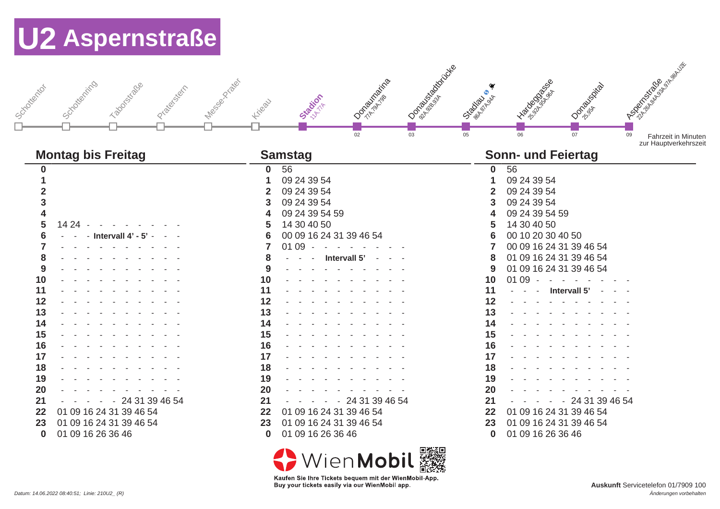| Schotenting<br>Taboosticace<br>Junion Michigan<br>Prize statin | <b>I Only Marine</b><br>Message Prickly<br>Stration<br>Kiteau<br>02<br>03 | I David Back<br>I To Good Band B<br>I Ondorski<br><b>Stragged</b><br>06<br>07<br>05 | I Book of Bridge River<br>09<br><b>Fahrzeit in Minuten</b><br>zur Hauptverkehrszeit |
|----------------------------------------------------------------|---------------------------------------------------------------------------|-------------------------------------------------------------------------------------|-------------------------------------------------------------------------------------|
| <b>Montag bis Freitag</b>                                      | <b>Samstag</b>                                                            | <b>Sonn- und Feiertag</b>                                                           |                                                                                     |
| 0                                                              | 56<br>$\mathbf{0}$                                                        | 56<br>$\bf{0}$                                                                      |                                                                                     |
|                                                                | 09 24 39 54<br>1                                                          | 09 24 39 54                                                                         |                                                                                     |
| $\mathbf 2$                                                    | 09 24 39 54<br>$\mathbf{2}$                                               | 09 24 39 54<br>$\mathbf 2$                                                          |                                                                                     |
| 3                                                              | 09 24 39 54<br>3                                                          | 09 24 39 54<br>3                                                                    |                                                                                     |
| 4                                                              | 09 24 39 54 59<br>4                                                       | 09 24 39 54 59                                                                      |                                                                                     |
| 5<br>14 24 -                                                   | 14 30 40 50<br>5                                                          | 14 30 40 50                                                                         |                                                                                     |
| 6<br>- Intervall $4'$ - $5'$ -                                 | $6\phantom{1}6$<br>00 09 16 24 31 39 46 54                                | 00 10 20 30 40 50                                                                   |                                                                                     |
| 7                                                              | 7<br>01 09<br>$\sim$ $\sim$ $\sim$                                        | 00 09 16 24 31 39 46 54                                                             |                                                                                     |
| 8                                                              | 8<br>Intervall 5'                                                         | 01 09 16 24 31 39 46 54<br>8                                                        |                                                                                     |
| 9                                                              | 9                                                                         | 01 09 16 24 31 39 46 54<br>9                                                        |                                                                                     |
| 10                                                             | 10                                                                        | $0109 -$<br>10<br><b>Contract Contract</b>                                          |                                                                                     |
| 11                                                             | 11                                                                        | 11<br>- Intervall 5'                                                                |                                                                                     |
| 12                                                             | 12                                                                        | 12                                                                                  |                                                                                     |
| 13                                                             | 13                                                                        | 13                                                                                  |                                                                                     |
| 14                                                             | 14                                                                        | 14                                                                                  |                                                                                     |
| 15                                                             | 15                                                                        | 15                                                                                  |                                                                                     |
| 16                                                             | 16                                                                        | 16                                                                                  |                                                                                     |
| 17                                                             | 17                                                                        | 17                                                                                  |                                                                                     |
| 18                                                             | 18                                                                        | 18                                                                                  |                                                                                     |
| 19                                                             | 19                                                                        | 19                                                                                  |                                                                                     |
| 20                                                             | 20                                                                        | 20                                                                                  |                                                                                     |
| 21<br>- 24 31 39 46 54                                         | 21<br>- 24 31 39 46 54<br>$\sim$                                          | $-2431394654$<br>21                                                                 |                                                                                     |
| 01 09 16 24 31 39 46 54<br>22                                  | 01 09 16 24 31 39 46 54<br>22                                             | 01 09 16 24 31 39 46 54<br>22                                                       |                                                                                     |
| 01 09 16 24 31 39 46 54<br>23                                  | 01 09 16 24 31 39 46 54<br>23                                             | 01 09 16 24 31 39 46 54<br>23                                                       |                                                                                     |
| 01 09 16 26 36 46<br>$\bf{0}$                                  | 01 09 16 26 36 46<br>$\bf{0}$                                             | 01 09 16 26 36 46<br>$\bf{0}$                                                       |                                                                                     |
|                                                                |                                                                           |                                                                                     |                                                                                     |

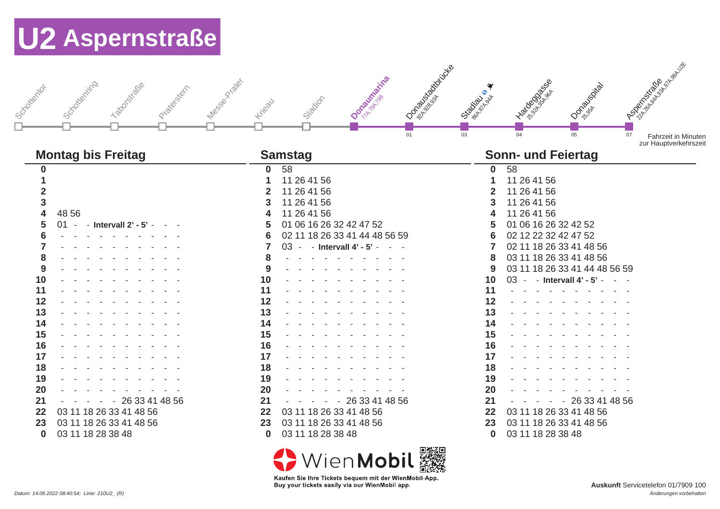| Message Prickly<br>Schotterting<br>Taboucktage<br>J Scyclometer<br>Prize of Strip | ID Sea Box Concrete<br>Dominicial international<br>Stacion<br>Kilgau<br>01 | I To Book River<br>Donald Box<br>Street of Principal<br>03<br>04<br>05 | I Book of Bridge River<br>07<br><b>Fahrzeit in Minuten</b><br>zur Hauptverkehrszeit |
|-----------------------------------------------------------------------------------|----------------------------------------------------------------------------|------------------------------------------------------------------------|-------------------------------------------------------------------------------------|
| <b>Montag bis Freitag</b>                                                         | <b>Samstag</b>                                                             | <b>Sonn- und Feiertag</b>                                              |                                                                                     |
| 0                                                                                 | 58<br>$\mathbf 0$                                                          | 58<br>0                                                                |                                                                                     |
|                                                                                   | 11 26 41 56                                                                | 11 26 41 56                                                            |                                                                                     |
|                                                                                   | 11 26 41 56<br>2                                                           | 11 26 41 56                                                            |                                                                                     |
| 3                                                                                 | 11 26 41 56<br>3                                                           | 11 26 41 56                                                            |                                                                                     |
| 48 56<br>4                                                                        | 11 26 41 56                                                                | 11 26 41 56                                                            |                                                                                     |
| 5<br>01<br>$-$ - Intervall $2'$ - $5'$ -                                          | 01 06 16 26 32 42 47 52                                                    | 01 06 16 26 32 42 52                                                   |                                                                                     |
|                                                                                   | 02 11 18 26 33 41 44 48 56 59<br>6                                         | 02 12 22 32 42 47 52                                                   |                                                                                     |
| the contract of the second state of                                               | 03 - - Intervall 4' - 5' -<br>and the state of                             | 02 11 18 26 33 41 48 56                                                |                                                                                     |
| 8                                                                                 | 8                                                                          | 03 11 18 26 33 41 48 56<br>8                                           |                                                                                     |
| 9                                                                                 | 9                                                                          | 03 11 18 26 33 41 44 48 56 59<br>9                                     |                                                                                     |
| 10                                                                                | 10                                                                         | 10<br>03 - - Intervall 4' - 5' - - -                                   |                                                                                     |
| 11                                                                                | 11                                                                         | 11                                                                     |                                                                                     |
| 12                                                                                | 12                                                                         | 12                                                                     |                                                                                     |
| 13                                                                                | 13                                                                         | 13                                                                     |                                                                                     |
| 14                                                                                | 14                                                                         | 14                                                                     |                                                                                     |
| 15                                                                                | 15                                                                         | 15                                                                     |                                                                                     |
| 16                                                                                | 16                                                                         | 16                                                                     |                                                                                     |
| 17                                                                                | 17                                                                         | 17                                                                     |                                                                                     |
| 18                                                                                | 18                                                                         | 18                                                                     |                                                                                     |
| 19                                                                                | 19                                                                         | 19                                                                     |                                                                                     |
| 20                                                                                | 20                                                                         | 20                                                                     |                                                                                     |
| 21<br>26 33 41 48 56<br>$\sim$                                                    | 26 33 41 48 56<br>21                                                       | $-2633414856$<br>21                                                    |                                                                                     |
| 22<br>03 11 18 26 33 41 48 56                                                     | 03 11 18 26 33 41 48 56<br>22                                              | 22<br>03 11 18 26 33 41 48 56                                          |                                                                                     |
| 23<br>03 11 18 26 33 41 48 56                                                     | 03 11 18 26 33 41 48 56<br>23                                              | 23<br>03 11 18 26 33 41 48 56                                          |                                                                                     |

03 11 18 28 38 48

<>
WienMobil Kaufen Sie Ihre Tickets bequem mit der WienMobil-App.

Buy your tickets easily via our WienMobil app.

03 11 18 28 38 48

03 11 18 28 38 48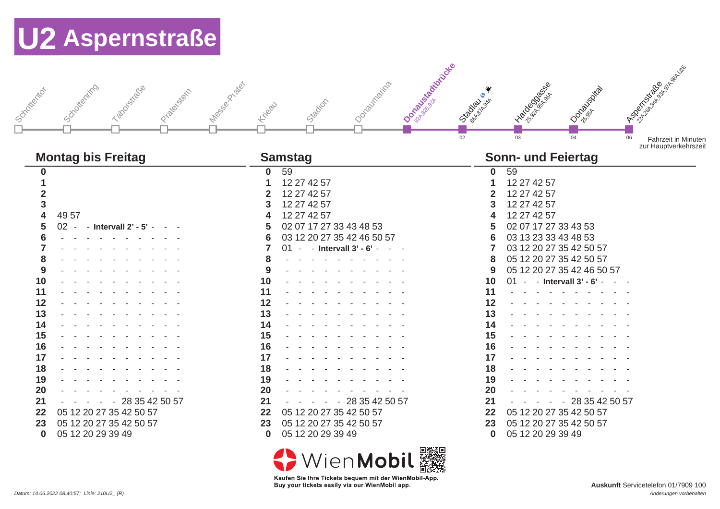

#### **Montag bis Freitag Samstag Samstag Samstag Samstag Samstag Samstag Samstag Samstag Samstag Samstag Samstag Samstag Samstag Samstag Samstag Samstag Samstag Samstag Samstag Samstag Samstag Samstag Samstag Samstag Samstag Sa**

| v                       |      |  |                   |                         |  |  |
|-------------------------|------|--|-------------------|-------------------------|--|--|
| 1                       |      |  |                   |                         |  |  |
| $\overline{\mathbf{2}}$ |      |  |                   |                         |  |  |
| 3                       |      |  |                   |                         |  |  |
| 4                       |      |  |                   |                         |  |  |
|                         | 4957 |  |                   |                         |  |  |
| 5                       | 02   |  | Intervall 2'      |                         |  |  |
| 6                       |      |  |                   |                         |  |  |
| 7                       |      |  |                   |                         |  |  |
| 8                       |      |  |                   |                         |  |  |
| 9                       |      |  |                   |                         |  |  |
| 10                      |      |  |                   |                         |  |  |
| 11                      |      |  |                   |                         |  |  |
|                         |      |  |                   |                         |  |  |
| 12                      |      |  |                   |                         |  |  |
| 13                      |      |  |                   |                         |  |  |
| 14                      |      |  |                   |                         |  |  |
| 15                      |      |  |                   |                         |  |  |
| 16                      |      |  |                   |                         |  |  |
| 17                      |      |  |                   |                         |  |  |
| 18                      |      |  |                   |                         |  |  |
| 19                      |      |  |                   |                         |  |  |
| 20                      |      |  |                   |                         |  |  |
| 21                      |      |  |                   | 28 35 42 50 57          |  |  |
| 22                      |      |  |                   | 05 12 20 27 35 42 50 57 |  |  |
| 23                      |      |  |                   | 05 12 20 27 35 42 50 57 |  |  |
| 0                       |      |  | 05 12 20 29 39 49 |                         |  |  |
|                         |      |  |                   |                         |  |  |

| 0              | 59 |             |                            |  |                |  |
|----------------|----|-------------|----------------------------|--|----------------|--|
| 1              |    | 12 27 42 57 |                            |  |                |  |
| $\overline{2}$ |    | 12 27 42 57 |                            |  |                |  |
| 3              |    | 12 27 42 57 |                            |  |                |  |
| 4              |    | 12 27 42 57 |                            |  |                |  |
| 5              |    |             | 02 07 17 27 33 43 48 53    |  |                |  |
| 6              |    |             | 03 12 20 27 35 42 46 50 57 |  |                |  |
| $\overline{7}$ | 01 |             | Intervall $3'$ - $6'$      |  |                |  |
| 8              |    |             |                            |  |                |  |
| 9              |    |             |                            |  |                |  |
| 10             |    |             |                            |  |                |  |
| 11             |    |             |                            |  |                |  |
| 12             |    |             |                            |  |                |  |
| 13             |    |             |                            |  |                |  |
| 14             |    |             |                            |  |                |  |
| 15             |    |             |                            |  |                |  |
| 16             |    |             |                            |  |                |  |
| 17             |    |             |                            |  |                |  |
| 18             |    |             |                            |  |                |  |
| 19             |    |             |                            |  |                |  |
| 20             |    |             |                            |  |                |  |
| 21             |    |             |                            |  | 28 35 42 50 57 |  |
| 22             |    |             | 05 12 20 27 35 42 50 57    |  |                |  |
| 23             |    |             | 05 12 20 27 35 42 50 57    |  |                |  |
| $\bf{0}$       |    |             | 05 12 20 29 39 49          |  |                |  |



| Sonn- und Feiertag |    |             |                           |  |                            |  |  |
|--------------------|----|-------------|---------------------------|--|----------------------------|--|--|
| $\bf{0}$           | 59 |             |                           |  |                            |  |  |
| 1                  |    | 12 27 42 57 |                           |  |                            |  |  |
| $\overline{2}$     |    | 12 27 42 57 |                           |  |                            |  |  |
| 3                  |    | 12 27 42 57 |                           |  |                            |  |  |
| 4                  |    | 12 27 42 57 |                           |  |                            |  |  |
| 5                  |    |             | 02 07 17 27 33 43 53      |  |                            |  |  |
| 6                  |    |             | 03 13 23 33 43 48 53      |  |                            |  |  |
| $\overline{7}$     |    |             | 03 12 20 27 35 42 50 57   |  |                            |  |  |
| 8                  |    |             | 05 12 20 27 35 42 50 57   |  |                            |  |  |
| 9                  |    |             |                           |  | 05 12 20 27 35 42 46 50 57 |  |  |
| 10                 | 01 |             | - Intervall $3'$ - $6'$ - |  |                            |  |  |
| 11                 |    |             |                           |  |                            |  |  |
| 12                 |    |             |                           |  |                            |  |  |
| 13                 |    |             |                           |  |                            |  |  |
| 14                 |    |             |                           |  |                            |  |  |
| 15                 |    |             |                           |  |                            |  |  |
| 16                 |    |             |                           |  |                            |  |  |
| 17                 |    |             |                           |  |                            |  |  |
| 18                 |    |             |                           |  |                            |  |  |
| 19                 |    |             |                           |  |                            |  |  |
| 20                 |    |             |                           |  |                            |  |  |
| 21                 |    |             |                           |  | 28 35 42 50 57             |  |  |
| 22                 |    |             | 05 12 20 27 35 42 50 57   |  |                            |  |  |
| 23                 |    |             | 05 12 20 27 35 42 50 57   |  |                            |  |  |
| 0                  |    |             | 05 12 20 29 39 49         |  |                            |  |  |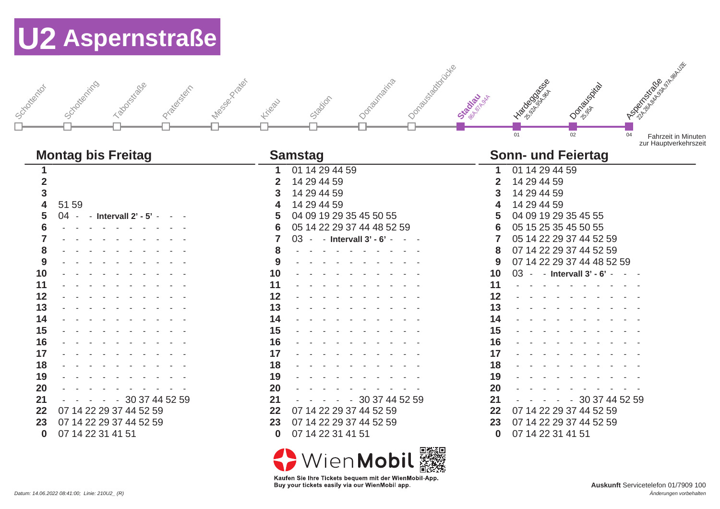| Message Prickly<br>Schoolteching<br>Taboristicase<br>Josephianid<br>Prize right                                                                                                                                                                                                                                     | 1-Oppositional decisional<br>Donautraina<br>Stacion<br>Kiteau                                                                                                                                                                                                                                                                                                                      | I Ton Book of B<br>Donovania<br>Stadiau<br><b>PORTAGINA</b><br>01<br>02                                                                                                                                                                                                                                                                                                                                                            | A BOSINE OF BOOM<br>04<br><b>Fahrzeit in Minuten</b><br>zur Hauptverkehrszeit |
|---------------------------------------------------------------------------------------------------------------------------------------------------------------------------------------------------------------------------------------------------------------------------------------------------------------------|------------------------------------------------------------------------------------------------------------------------------------------------------------------------------------------------------------------------------------------------------------------------------------------------------------------------------------------------------------------------------------|------------------------------------------------------------------------------------------------------------------------------------------------------------------------------------------------------------------------------------------------------------------------------------------------------------------------------------------------------------------------------------------------------------------------------------|-------------------------------------------------------------------------------|
| <b>Montag bis Freitag</b>                                                                                                                                                                                                                                                                                           | <b>Samstag</b>                                                                                                                                                                                                                                                                                                                                                                     | <b>Sonn- und Feiertag</b>                                                                                                                                                                                                                                                                                                                                                                                                          |                                                                               |
| $\mathbf{2}$<br>$\overline{\mathbf{3}}$<br>4<br>51 59<br>5<br>$04 -$<br>- Intervall 2' - 5' -<br>6<br>8<br>9<br>10<br>11<br>12<br>13<br>14<br>15<br>16<br>17<br>18<br>19<br>20<br>21<br>30 37 44 52 59<br>$\sim$<br>07 14 22 29 37 44 52 59<br>22<br>07 14 22 29 37 44 52 59<br>23<br>07 14 22 31 41 51<br>$\bf{0}$ | 01 14 29 44 59<br>14 29 44 59<br>2<br>14 29 44 59<br>14 29 44 59<br>04 09 19 29 35 45 50 55<br>5<br>05 14 22 29 37 44 48 52 59<br>6<br>03 - - Intervall 3' - 6' -<br>8<br>9<br>10<br>11<br>12<br>13<br>14<br>15<br>16<br>17<br>18<br>19<br>20<br>21<br>30 37 44 52 59<br>$\sim$<br>07 14 22 29 37 44 52 59<br>22<br>07 14 22 29 37 44 52 59<br>23<br>07 14 22 31 41 51<br>$\bf{0}$ | 01 14 29 44 59<br>14 29 44 59<br>14 29 44 59<br>14 29 44 59<br>04 09 19 29 35 45 55<br>05 15 25 35 45 50 55<br>05 14 22 29 37 44 52 59<br>07 14 22 29 37 44 52 59<br>8<br>07 14 22 29 37 44 48 52 59<br>9<br>10<br>03<br>- Intervall 3' - 6'<br>11<br>12<br>13<br>14<br>15<br>16<br>17<br>18<br>19<br>20<br>21<br>$-3037445259$<br>07 14 22 29 37 44 52 59<br>22<br>07 14 22 29 37 44 52 59<br>23<br>07 14 22 31 41 51<br>$\bf{0}$ |                                                                               |

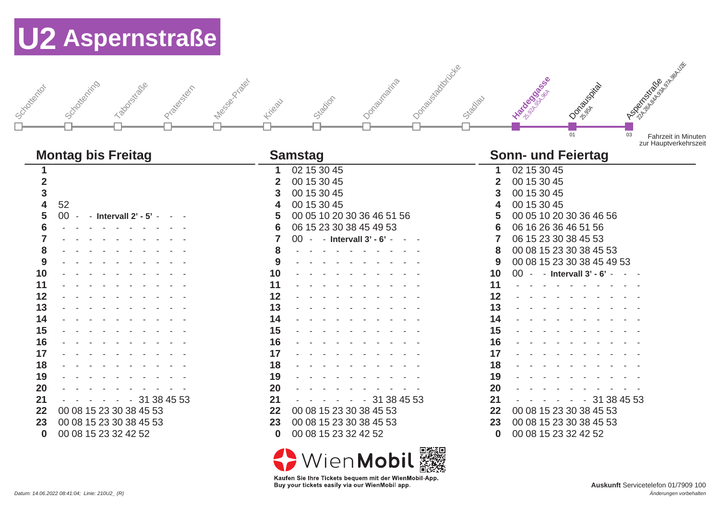J schottertor I Schottenring Taborstraße J Price Braider I description Kikeau Stadion Joaquinaina J Oo<sub>pporau</sub>stadtigte Stadlau **Hardegasse** Donauspital **Aspertalist Replacement**  $\overline{03}$  Fahrzeit in Minuten zur Hauptverkehrszeit

| 02 15 30 45<br>02 15 30 45<br>00 15 30 45<br>00 15 30 45<br>$\mathbf{2}$<br>$\mathbf{2}$<br>00 15 30 45<br>00 15 30 45<br>3<br>3<br>3<br>52<br>00 15 30 45<br>00 15 30 45<br>4<br>4<br>4<br>00 05 10 20 30 36 46 51 56<br>00 05 10 20 30 36 46 56<br>5<br>00 - - Intervall 2' - 5' - - -<br>5<br>5<br>06 15 23 30 38 45 49 53<br>06 16 26 36 46 51 56<br>6<br>6<br>6<br>and the second control of the second<br>06 15 23 30 38 45 53<br>00 - - Intervall 3' - 6' - - -<br>7<br>00 08 15 23 30 38 45 53<br>8<br>8<br>8<br>00 08 15 23 30 38 45 49 53<br>9<br>9<br>9<br>10<br>10<br>10<br>00 - - Intervall 3' - 6' - - -<br>11<br>11<br>11<br>12<br>$12 \,$<br>12<br>13<br>13<br>13<br>14<br>14<br>14<br>15<br>15<br>15<br>16<br>16<br>16<br>17<br>17<br>17<br>18<br>18<br>18<br>19<br>19<br>19<br>20<br><b>20</b><br>20<br>21<br>21<br>21<br>$- - 31384553$<br>$- - 31384553$<br>$- - - - 31384553$<br>00 08 15 23 30 38 45 53<br>22<br>00 08 15 23 30 38 45 53<br>22<br>22<br>00 08 15 23 30 38 45 53<br>00 08 15 23 30 38 45 53<br>00 08 15 23 30 38 45 53<br>00 08 15 23 30 38 45 53<br>23<br>23<br>23 | <b>Montag bis Freitag</b>        | <b>Samstag</b>                   | <b>Sonn- und Feiertag</b>        |
|----------------------------------------------------------------------------------------------------------------------------------------------------------------------------------------------------------------------------------------------------------------------------------------------------------------------------------------------------------------------------------------------------------------------------------------------------------------------------------------------------------------------------------------------------------------------------------------------------------------------------------------------------------------------------------------------------------------------------------------------------------------------------------------------------------------------------------------------------------------------------------------------------------------------------------------------------------------------------------------------------------------------------------------------------------------------------------------------------------|----------------------------------|----------------------------------|----------------------------------|
|                                                                                                                                                                                                                                                                                                                                                                                                                                                                                                                                                                                                                                                                                                                                                                                                                                                                                                                                                                                                                                                                                                          |                                  |                                  |                                  |
|                                                                                                                                                                                                                                                                                                                                                                                                                                                                                                                                                                                                                                                                                                                                                                                                                                                                                                                                                                                                                                                                                                          |                                  |                                  |                                  |
|                                                                                                                                                                                                                                                                                                                                                                                                                                                                                                                                                                                                                                                                                                                                                                                                                                                                                                                                                                                                                                                                                                          |                                  |                                  |                                  |
|                                                                                                                                                                                                                                                                                                                                                                                                                                                                                                                                                                                                                                                                                                                                                                                                                                                                                                                                                                                                                                                                                                          |                                  |                                  |                                  |
|                                                                                                                                                                                                                                                                                                                                                                                                                                                                                                                                                                                                                                                                                                                                                                                                                                                                                                                                                                                                                                                                                                          |                                  |                                  |                                  |
|                                                                                                                                                                                                                                                                                                                                                                                                                                                                                                                                                                                                                                                                                                                                                                                                                                                                                                                                                                                                                                                                                                          |                                  |                                  |                                  |
|                                                                                                                                                                                                                                                                                                                                                                                                                                                                                                                                                                                                                                                                                                                                                                                                                                                                                                                                                                                                                                                                                                          |                                  |                                  |                                  |
|                                                                                                                                                                                                                                                                                                                                                                                                                                                                                                                                                                                                                                                                                                                                                                                                                                                                                                                                                                                                                                                                                                          |                                  |                                  |                                  |
|                                                                                                                                                                                                                                                                                                                                                                                                                                                                                                                                                                                                                                                                                                                                                                                                                                                                                                                                                                                                                                                                                                          |                                  |                                  |                                  |
|                                                                                                                                                                                                                                                                                                                                                                                                                                                                                                                                                                                                                                                                                                                                                                                                                                                                                                                                                                                                                                                                                                          |                                  |                                  |                                  |
|                                                                                                                                                                                                                                                                                                                                                                                                                                                                                                                                                                                                                                                                                                                                                                                                                                                                                                                                                                                                                                                                                                          |                                  |                                  |                                  |
|                                                                                                                                                                                                                                                                                                                                                                                                                                                                                                                                                                                                                                                                                                                                                                                                                                                                                                                                                                                                                                                                                                          |                                  |                                  |                                  |
|                                                                                                                                                                                                                                                                                                                                                                                                                                                                                                                                                                                                                                                                                                                                                                                                                                                                                                                                                                                                                                                                                                          |                                  |                                  |                                  |
|                                                                                                                                                                                                                                                                                                                                                                                                                                                                                                                                                                                                                                                                                                                                                                                                                                                                                                                                                                                                                                                                                                          |                                  |                                  |                                  |
|                                                                                                                                                                                                                                                                                                                                                                                                                                                                                                                                                                                                                                                                                                                                                                                                                                                                                                                                                                                                                                                                                                          |                                  |                                  |                                  |
|                                                                                                                                                                                                                                                                                                                                                                                                                                                                                                                                                                                                                                                                                                                                                                                                                                                                                                                                                                                                                                                                                                          |                                  |                                  |                                  |
|                                                                                                                                                                                                                                                                                                                                                                                                                                                                                                                                                                                                                                                                                                                                                                                                                                                                                                                                                                                                                                                                                                          |                                  |                                  |                                  |
|                                                                                                                                                                                                                                                                                                                                                                                                                                                                                                                                                                                                                                                                                                                                                                                                                                                                                                                                                                                                                                                                                                          |                                  |                                  |                                  |
|                                                                                                                                                                                                                                                                                                                                                                                                                                                                                                                                                                                                                                                                                                                                                                                                                                                                                                                                                                                                                                                                                                          |                                  |                                  |                                  |
|                                                                                                                                                                                                                                                                                                                                                                                                                                                                                                                                                                                                                                                                                                                                                                                                                                                                                                                                                                                                                                                                                                          |                                  |                                  |                                  |
|                                                                                                                                                                                                                                                                                                                                                                                                                                                                                                                                                                                                                                                                                                                                                                                                                                                                                                                                                                                                                                                                                                          |                                  |                                  |                                  |
|                                                                                                                                                                                                                                                                                                                                                                                                                                                                                                                                                                                                                                                                                                                                                                                                                                                                                                                                                                                                                                                                                                          |                                  |                                  |                                  |
|                                                                                                                                                                                                                                                                                                                                                                                                                                                                                                                                                                                                                                                                                                                                                                                                                                                                                                                                                                                                                                                                                                          |                                  |                                  |                                  |
|                                                                                                                                                                                                                                                                                                                                                                                                                                                                                                                                                                                                                                                                                                                                                                                                                                                                                                                                                                                                                                                                                                          | 00 08 15 23 32 42 52<br>$\bf{0}$ | 00 08 15 23 32 42 52<br>$\bf{0}$ | 00 08 15 23 32 42 52<br>$\bf{0}$ |